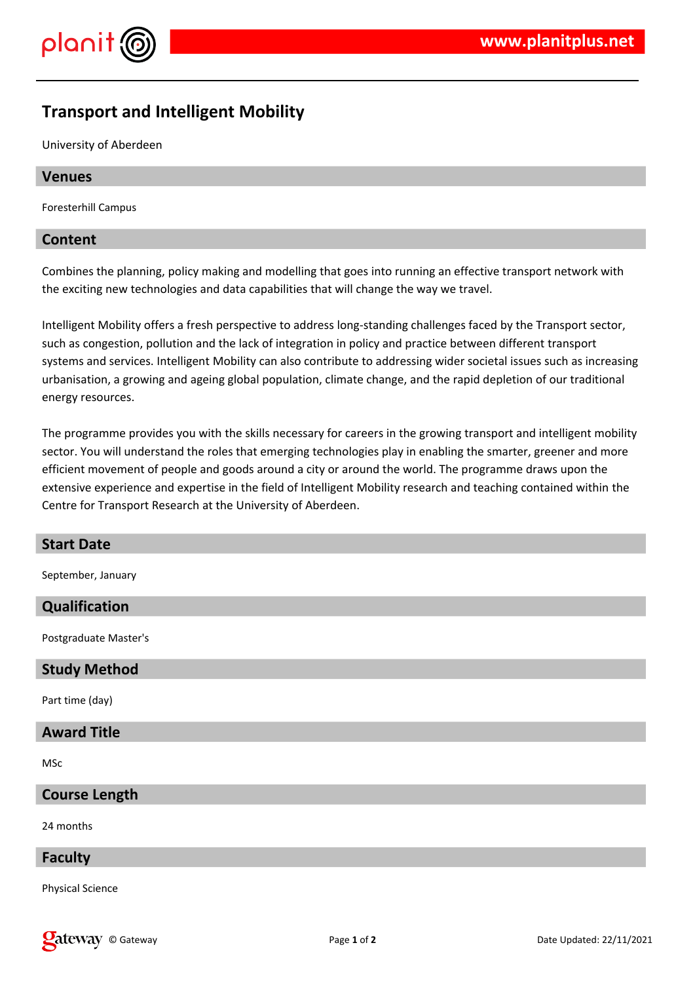

# **Transport and Intelligent Mobility**

University of Aberdeen

# **Venues**

Foresterhill Campus

## **Content**

Combines the planning, policy making and modelling that goes into running an effective transport network with the exciting new technologies and data capabilities that will change the way we travel.

Intelligent Mobility offers a fresh perspective to address long-standing challenges faced by the Transport sector, such as congestion, pollution and the lack of integration in policy and practice between different transport systems and services. Intelligent Mobility can also contribute to addressing wider societal issues such as increasing urbanisation, a growing and ageing global population, climate change, and the rapid depletion of our traditional energy resources.

The programme provides you with the skills necessary for careers in the growing transport and intelligent mobility sector. You will understand the roles that emerging technologies play in enabling the smarter, greener and more efficient movement of people and goods around a city or around the world. The programme draws upon the extensive experience and expertise in the field of Intelligent Mobility research and teaching contained within the Centre for Transport Research at the University of Aberdeen.

#### **Start Date**

September, January

# **Qualification**

Postgraduate Master's

# **Study Method**

Part time (day)

#### **Award Title**

MSc

#### **Course Length**

24 months

#### **Faculty**

Physical Science